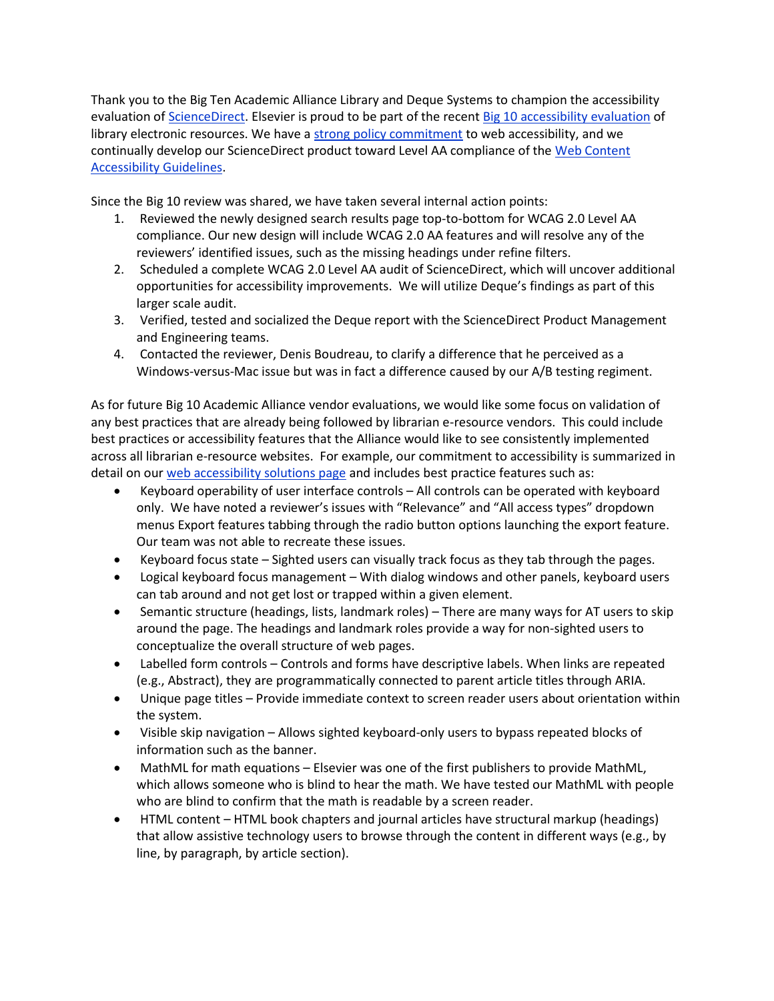Thank you to the Big Ten Academic Alliance Library and Deque Systems to champion the accessibility evaluation of [ScienceDirect.](https://www.btaa.org/docs/default-source/library/accessibility-reports/sciencedirectevaluationdequefinal.pdf?sfvrsn=2) Elsevier is proud to be part of the recent [Big 10 accessibility evaluation](https://www.btaa.org/projects/library/accessibility/reports) of library electronic resources. We have a [strong policy commitment](https://www.elsevier.com/about/our-business/policies/accessibility) to web accessibility, and we continually develop our ScienceDirect product toward Level AA compliance of the [Web Content](https://www.w3.org/TR/WCAG/)  [Accessibility Guidelines.](https://www.w3.org/TR/WCAG/)

Since the Big 10 review was shared, we have taken several internal action points:

- 1. Reviewed the newly designed search results page top-to-bottom for WCAG 2.0 Level AA compliance. Our new design will include WCAG 2.0 AA features and will resolve any of the reviewers' identified issues, such as the missing headings under refine filters.
- 2. Scheduled a complete WCAG 2.0 Level AA audit of ScienceDirect, which will uncover additional opportunities for accessibility improvements. We will utilize Deque's findings as part of this larger scale audit.
- 3. Verified, tested and socialized the Deque report with the ScienceDirect Product Management and Engineering teams.
- 4. Contacted the reviewer, Denis Boudreau, to clarify a difference that he perceived as a Windows-versus-Mac issue but was in fact a difference caused by our A/B testing regiment.

As for future Big 10 Academic Alliance vendor evaluations, we would like some focus on validation of any best practices that are already being followed by librarian e-resource vendors. This could include best practices or accessibility features that the Alliance would like to see consistently implemented across all librarian e-resource websites. For example, our commitment to accessibility is summarized in detail on ou[r web accessibility solutions page](https://www.elsevier.com/solutions/sciencedirect/support/web-accessibility) and includes best practice features such as:

- Keyboard operability of user interface controls All controls can be operated with keyboard only. We have noted a reviewer's issues with "Relevance" and "All access types" dropdown menus Export features tabbing through the radio button options launching the export feature. Our team was not able to recreate these issues.
- Keyboard focus state Sighted users can visually track focus as they tab through the pages.
- Logical keyboard focus management With dialog windows and other panels, keyboard users can tab around and not get lost or trapped within a given element.
- Semantic structure (headings, lists, landmark roles) There are many ways for AT users to skip around the page. The headings and landmark roles provide a way for non-sighted users to conceptualize the overall structure of web pages.
- Labelled form controls Controls and forms have descriptive labels. When links are repeated (e.g., Abstract), they are programmatically connected to parent article titles through ARIA.
- Unique page titles Provide immediate context to screen reader users about orientation within the system.
- Visible skip navigation Allows sighted keyboard-only users to bypass repeated blocks of information such as the banner.
- MathML for math equations Elsevier was one of the first publishers to provide MathML, which allows someone who is blind to hear the math. We have tested our MathML with people who are blind to confirm that the math is readable by a screen reader.
- HTML content HTML book chapters and journal articles have structural markup (headings) that allow assistive technology users to browse through the content in different ways (e.g., by line, by paragraph, by article section).